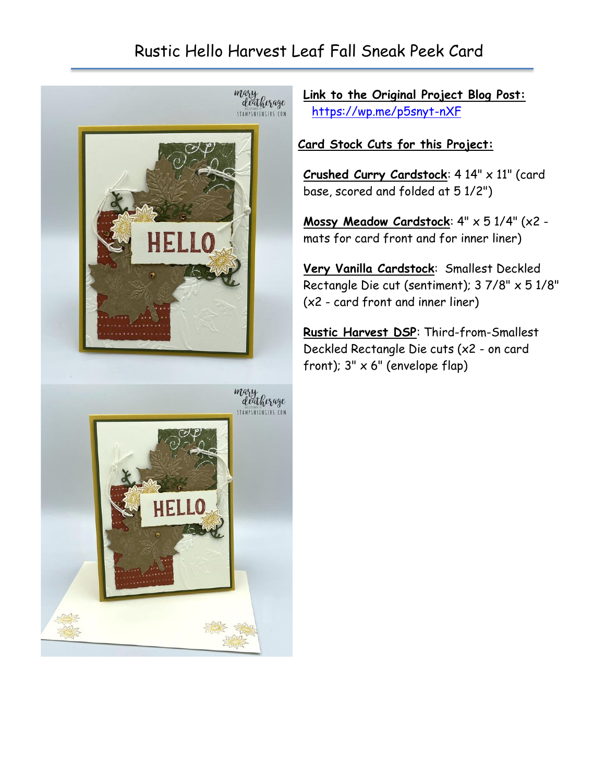## Rustic Hello Harvest Leaf Fall Sneak Peek Card



**Link to the Original Project Blog Post:** <https://wp.me/p5snyt-nXF>

## **Card Stock Cuts for this Project:**

**Crushed Curry Cardstock**: 4 14" x 11" (card base, scored and folded at 5 1/2")

**Mossy Meadow Cardstock**: 4" x 5 1/4" (x2 mats for card front and for inner liner)

**Very Vanilla Cardstock**: Smallest Deckled Rectangle Die cut (sentiment); 3 7/8" x 5 1/8" (x2 - card front and inner liner)

**Rustic Harvest DSP**: Third-from-Smallest Deckled Rectangle Die cuts (x2 - on card front);  $3" \times 6"$  (envelope flap)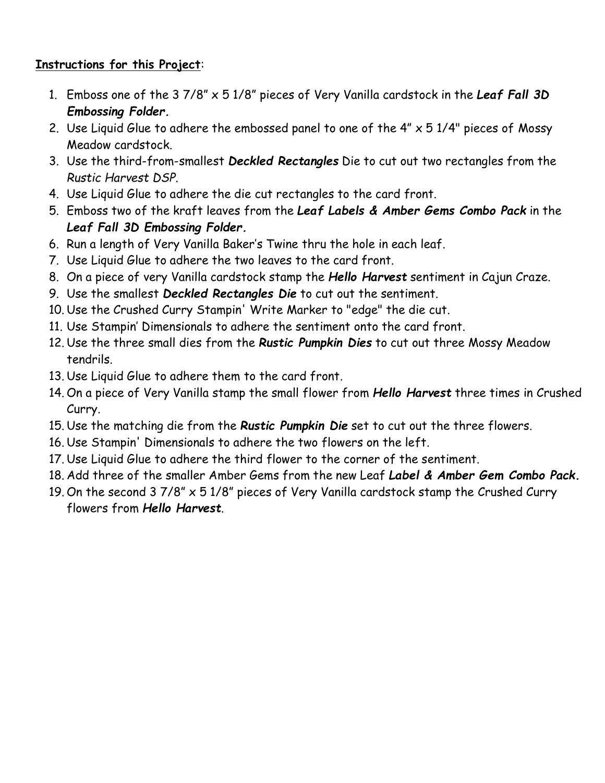## **Instructions for this Project**:

- 1. Emboss one of the 3 7/8" x 5 1/8" pieces of Very Vanilla cardstock in the *Leaf Fall 3D Embossing Folder.*
- 2. Use Liquid Glue to adhere the embossed panel to one of the  $4'' \times 51/4''$  pieces of Mossy Meadow cardstock.
- 3. Use the third-from-smallest *Deckled Rectangles* Die to cut out two rectangles from the *Rustic Harvest DSP*.
- 4. Use Liquid Glue to adhere the die cut rectangles to the card front.
- 5. Emboss two of the kraft leaves from the *Leaf Labels & Amber Gems Combo Pack* in the *Leaf Fall 3D Embossing Folder.*
- 6. Run a length of Very Vanilla Baker's Twine thru the hole in each leaf.
- 7. Use Liquid Glue to adhere the two leaves to the card front.
- 8. On a piece of very Vanilla cardstock stamp the *Hello Harvest* sentiment in Cajun Craze.
- 9. Use the smallest *Deckled Rectangles Die* to cut out the sentiment.
- 10. Use the Crushed Curry Stampin' Write Marker to "edge" the die cut.
- 11. Use Stampin' Dimensionals to adhere the sentiment onto the card front.
- 12. Use the three small dies from the *Rustic Pumpkin Dies* to cut out three Mossy Meadow tendrils.
- 13. Use Liquid Glue to adhere them to the card front.
- 14. On a piece of Very Vanilla stamp the small flower from *Hello Harvest* three times in Crushed Curry.
- 15. Use the matching die from the *Rustic Pumpkin Die* set to cut out the three flowers.
- 16. Use Stampin' Dimensionals to adhere the two flowers on the left.
- 17. Use Liquid Glue to adhere the third flower to the corner of the sentiment.
- 18. Add three of the smaller Amber Gems from the new Leaf *Label & Amber Gem Combo Pack.*
- 19. On the second 3 7/8" x 5 1/8" pieces of Very Vanilla cardstock stamp the Crushed Curry flowers from *Hello Harvest*.